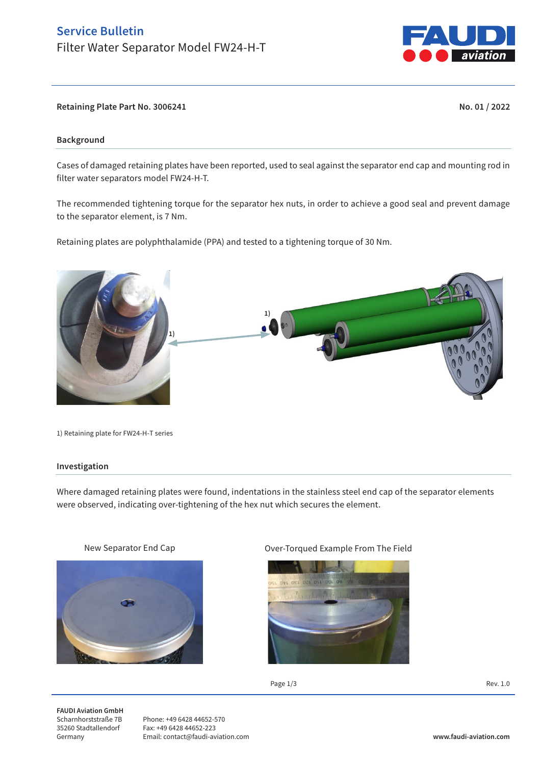# **Service Bulletin**  Filter Water Separator Model FW24-H-T



**Retaining Plate Part No. 3006241 No. 01 / 2022**

## **Background**

Cases of damaged retaining plates have been reported, used to seal against the separator end cap and mounting rod in filter water separators model FW24-H-T.

The recommended tightening torque for the separator hex nuts, in order to achieve a good seal and prevent damage to the separator element, is 7 Nm.

Retaining plates are polyphthalamide (PPA) and tested to a tightening torque of 30 Nm.



1) Retaining plate for FW24-H-T series

#### **Investigation**

Where damaged retaining plates were found, indentations in the stainless steel end cap of the separator elements were observed, indicating over-tightening of the hex nut which secures the element.



### New Separator End Cap **Capaca Capaca Capaca Capaca Capaca** Over-Torqued Example From The Field



Page  $1/3$  Rev. 1.0

**FAUDI Aviation GmbH** Scharnhorststraße 7B 35260 Stadtallendorf Germany

Phone: +49 6428 44652-570 Fax: +49 6428 44652-223 Email: contact@faudi-aviation.com **www.faudi-aviation.com**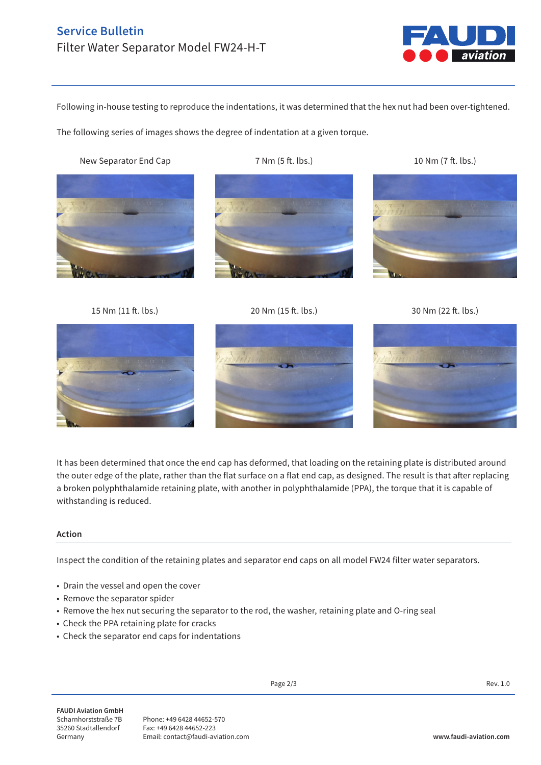# **Service Bulletin**  Filter Water Separator Model FW24-H-T



Following in-house testing to reproduce the indentations, it was determined that the hex nut had been over-tightened.

The following series of images shows the degree of indentation at a given torque.

New Separator End Cap 7 Nm (5 ft. lbs.) 10 Nm (7 ft. lbs.)









15 Nm (11 ft. lbs.) 20 Nm (15 ft. lbs.) 30 Nm (22 ft. lbs.)



It has been determined that once the end cap has deformed, that loading on the retaining plate is distributed around the outer edge of the plate, rather than the flat surface on a flat end cap, as designed. The result is that after replacing a broken polyphthalamide retaining plate, with another in polyphthalamide (PPA), the torque that it is capable of withstanding is reduced.

# **Action**

Inspect the condition of the retaining plates and separator end caps on all model FW24 filter water separators.

- Drain the vessel and open the cover
- Remove the separator spider
- Remove the hex nut securing the separator to the rod, the washer, retaining plate and O-ring seal
- Check the PPA retaining plate for cracks
- Check the separator end caps for indentations

**FAUDI Aviation GmbH** Scharnhorststraße 7B 35260 Stadtallendorf Germany

Phone: +49 6428 44652-570 Fax: +49 6428 44652-223 Email: contact@faudi-aviation.com **www.faudi-aviation.com**

Page 2/3 Rev. 1.0